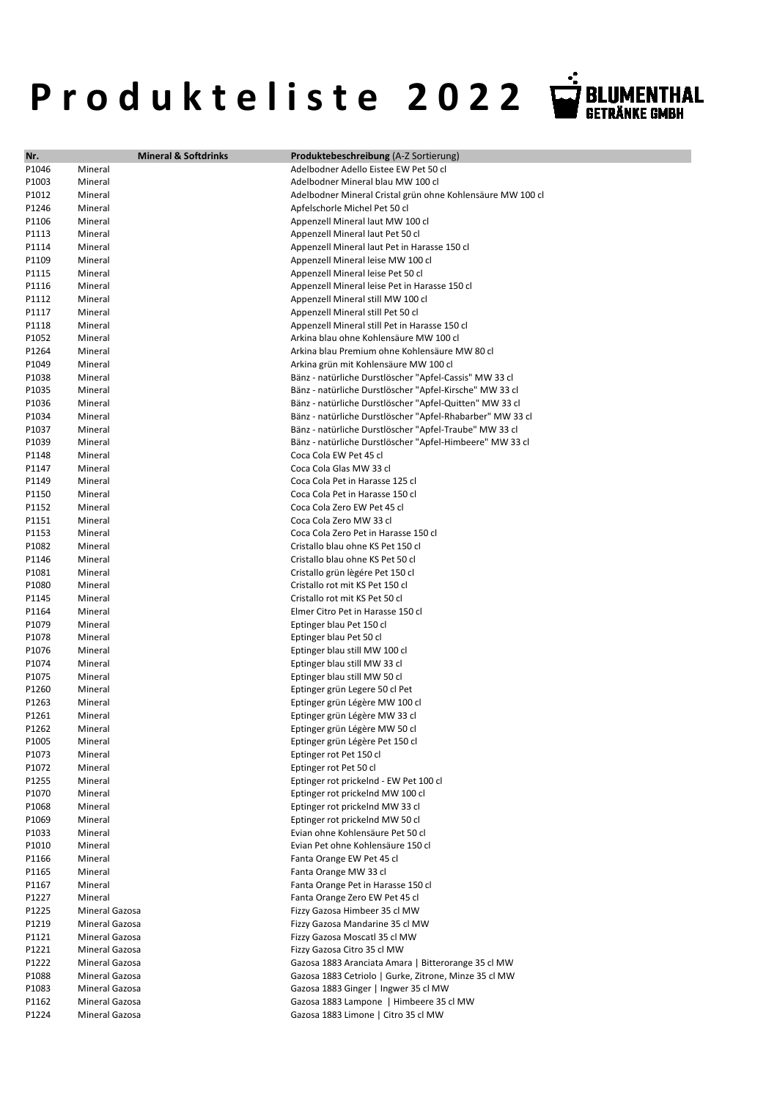## P r o d u k t e l i s t e 2022 V BLUMENTHAL

| Nr.            | <b>Mineral &amp; Softdrinks</b> | Produktebeschreibung (A-Z Sortierung)                                                                              |
|----------------|---------------------------------|--------------------------------------------------------------------------------------------------------------------|
| P1046          | Mineral                         | Adelbodner Adello Eistee EW Pet 50 cl                                                                              |
| P1003          | Mineral                         | Adelbodner Mineral blau MW 100 cl                                                                                  |
| P1012          | Mineral                         | Adelbodner Mineral Cristal grün ohne Kohlensäure MW 100 cl                                                         |
| P1246          | Mineral                         | Apfelschorle Michel Pet 50 cl                                                                                      |
| P1106          | Mineral                         | Appenzell Mineral laut MW 100 cl                                                                                   |
| P1113          | Mineral                         | Appenzell Mineral laut Pet 50 cl                                                                                   |
| P1114          | Mineral                         | Appenzell Mineral laut Pet in Harasse 150 cl                                                                       |
| P1109          | Mineral                         | Appenzell Mineral leise MW 100 cl                                                                                  |
| P1115          | Mineral                         | Appenzell Mineral leise Pet 50 cl                                                                                  |
| P1116          | Mineral                         | Appenzell Mineral leise Pet in Harasse 150 cl                                                                      |
| P1112          | Mineral                         | Appenzell Mineral still MW 100 cl                                                                                  |
| P1117          | Mineral                         | Appenzell Mineral still Pet 50 cl                                                                                  |
| P1118          | Mineral                         | Appenzell Mineral still Pet in Harasse 150 cl                                                                      |
| P1052          | Mineral                         | Arkina blau ohne Kohlensäure MW 100 cl                                                                             |
| P1264          | Mineral                         | Arkina blau Premium ohne Kohlensäure MW 80 cl                                                                      |
| P1049          | Mineral                         | Arkina grün mit Kohlensäure MW 100 cl                                                                              |
| P1038          | Mineral                         | Bänz - natürliche Durstlöscher "Apfel-Cassis" MW 33 cl                                                             |
| P1035<br>P1036 | Mineral<br>Mineral              | Bänz - natürliche Durstlöscher "Apfel-Kirsche" MW 33 cl<br>Bänz - natürliche Durstlöscher "Apfel-Quitten" MW 33 cl |
| P1034          | Mineral                         | Bänz - natürliche Durstlöscher "Apfel-Rhabarber" MW 33 cl                                                          |
| P1037          | Mineral                         | Bänz - natürliche Durstlöscher "Apfel-Traube" MW 33 cl                                                             |
| P1039          | Mineral                         | Bänz - natürliche Durstlöscher "Apfel-Himbeere" MW 33 cl                                                           |
| P1148          | Mineral                         | Coca Cola EW Pet 45 cl                                                                                             |
| P1147          | Mineral                         | Coca Cola Glas MW 33 cl                                                                                            |
| P1149          | Mineral                         | Coca Cola Pet in Harasse 125 cl                                                                                    |
| P1150          | Mineral                         | Coca Cola Pet in Harasse 150 cl                                                                                    |
| P1152          | Mineral                         | Coca Cola Zero EW Pet 45 cl                                                                                        |
| P1151          | Mineral                         | Coca Cola Zero MW 33 cl                                                                                            |
| P1153          | Mineral                         | Coca Cola Zero Pet in Harasse 150 cl                                                                               |
| P1082          | Mineral                         | Cristallo blau ohne KS Pet 150 cl                                                                                  |
| P1146          | Mineral                         | Cristallo blau ohne KS Pet 50 cl                                                                                   |
| P1081          | Mineral                         | Cristallo grün lègére Pet 150 cl                                                                                   |
| P1080          | Mineral                         | Cristallo rot mit KS Pet 150 cl                                                                                    |
| P1145          | Mineral                         | Cristallo rot mit KS Pet 50 cl                                                                                     |
| P1164          | Mineral                         | Elmer Citro Pet in Harasse 150 cl                                                                                  |
| P1079          | Mineral                         | Eptinger blau Pet 150 cl                                                                                           |
| P1078          | Mineral                         | Eptinger blau Pet 50 cl                                                                                            |
| P1076          | Mineral                         | Eptinger blau still MW 100 cl                                                                                      |
| P1074          | Mineral                         | Eptinger blau still MW 33 cl                                                                                       |
| P1075          | Mineral                         | Eptinger blau still MW 50 cl                                                                                       |
| P1260          | Mineral                         | Eptinger grün Legere 50 cl Pet                                                                                     |
| P1263          | Mineral                         | Eptinger grün Légère MW 100 cl                                                                                     |
| P1261          | Mineral                         | Eptinger grün Légère MW 33 cl                                                                                      |
| P1262          | Mineral                         | Eptinger grün Légère MW 50 cl                                                                                      |
| P1005          | Mineral                         | Eptinger grün Légère Pet 150 cl                                                                                    |
| P1073          | Mineral                         | Eptinger rot Pet 150 cl                                                                                            |
| P1072          | Mineral                         | Eptinger rot Pet 50 cl                                                                                             |
| P1255          | Mineral                         | Eptinger rot prickelnd - EW Pet 100 cl                                                                             |
| P1070          | Mineral                         | Eptinger rot prickelnd MW 100 cl                                                                                   |
| P1068          | Mineral                         | Eptinger rot prickelnd MW 33 cl                                                                                    |
| P1069          | Mineral<br>Mineral              | Eptinger rot prickelnd MW 50 cl<br>Evian ohne Kohlensäure Pet 50 cl                                                |
| P1033<br>P1010 | Mineral                         | Evian Pet ohne Kohlensäure 150 cl                                                                                  |
| P1166          | Mineral                         | Fanta Orange EW Pet 45 cl                                                                                          |
| P1165          | Mineral                         | Fanta Orange MW 33 cl                                                                                              |
| P1167          | Mineral                         | Fanta Orange Pet in Harasse 150 cl                                                                                 |
| P1227          | Mineral                         | Fanta Orange Zero EW Pet 45 cl                                                                                     |
| P1225          | Mineral Gazosa                  | Fizzy Gazosa Himbeer 35 cl MW                                                                                      |
| P1219          | Mineral Gazosa                  | Fizzy Gazosa Mandarine 35 cl MW                                                                                    |
| P1121          | Mineral Gazosa                  | Fizzy Gazosa Moscatl 35 cl MW                                                                                      |
| P1221          | Mineral Gazosa                  | Fizzy Gazosa Citro 35 cl MW                                                                                        |
| P1222          | Mineral Gazosa                  | Gazosa 1883 Aranciata Amara   Bitterorange 35 cl MW                                                                |
| P1088          | Mineral Gazosa                  | Gazosa 1883 Cetriolo   Gurke, Zitrone, Minze 35 cl MW                                                              |
| P1083          | Mineral Gazosa                  | Gazosa 1883 Ginger   Ingwer 35 cl MW                                                                               |
| P1162          | Mineral Gazosa                  | Gazosa 1883 Lampone   Himbeere 35 cl MW                                                                            |
| P1224          | Mineral Gazosa                  | Gazosa 1883 Limone   Citro 35 cl MW                                                                                |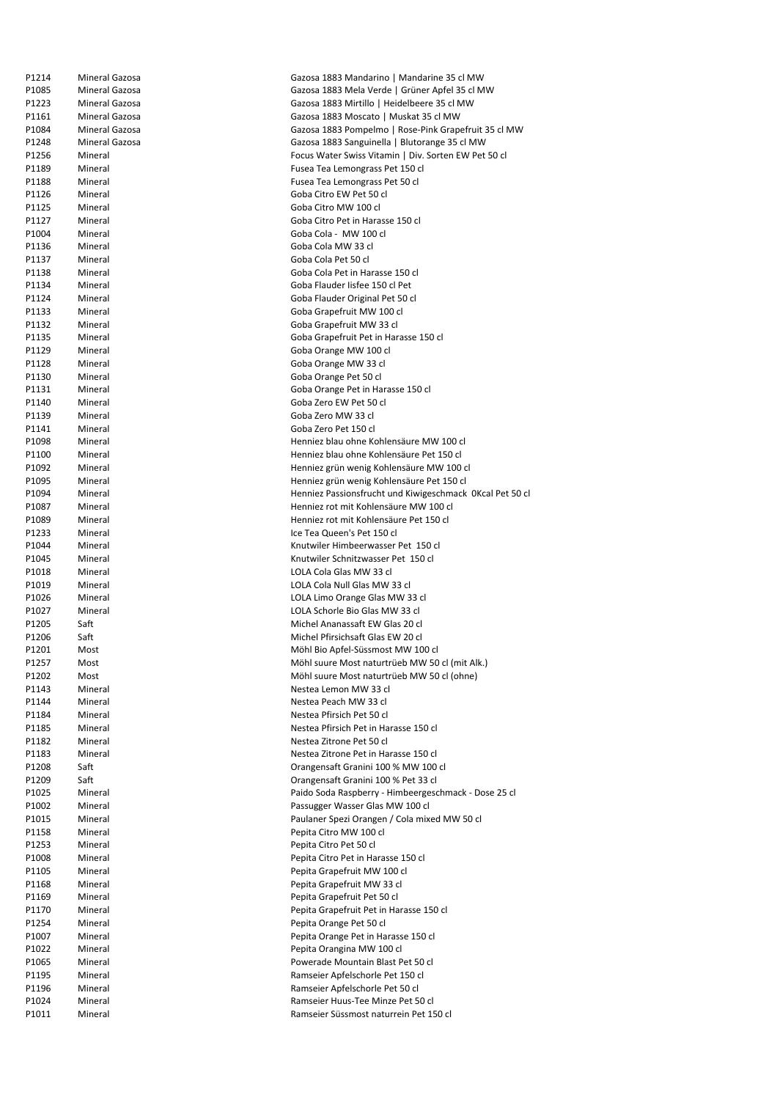| P1214 | Mineral Gazosa | Gazosa 1883 Mandarino   Mandarine 35 cl MW               |
|-------|----------------|----------------------------------------------------------|
| P1085 | Mineral Gazosa | Gazosa 1883 Mela Verde   Grüner Apfel 35 cl MW           |
| P1223 | Mineral Gazosa | Gazosa 1883 Mirtillo   Heidelbeere 35 cl MW              |
| P1161 | Mineral Gazosa | Gazosa 1883 Moscato   Muskat 35 cl MW                    |
| P1084 | Mineral Gazosa | Gazosa 1883 Pompelmo   Rose-Pink Grapefruit 35 cl MW     |
| P1248 | Mineral Gazosa | Gazosa 1883 Sanguinella   Blutorange 35 cl MW            |
| P1256 | Mineral        | Focus Water Swiss Vitamin   Div. Sorten EW Pet 50 cl     |
| P1189 | Mineral        | Fusea Tea Lemongrass Pet 150 cl                          |
| P1188 | Mineral        | Fusea Tea Lemongrass Pet 50 cl                           |
| P1126 | Mineral        | Goba Citro EW Pet 50 cl                                  |
|       |                | Goba Citro MW 100 cl                                     |
| P1125 | Mineral        |                                                          |
| P1127 | Mineral        | Goba Citro Pet in Harasse 150 cl                         |
| P1004 | Mineral        | Goba Cola - MW 100 cl                                    |
| P1136 | Mineral        | Goba Cola MW 33 cl                                       |
| P1137 | Mineral        | Goba Cola Pet 50 cl                                      |
| P1138 | Mineral        | Goba Cola Pet in Harasse 150 cl                          |
| P1134 | Mineral        | Goba Flauder Iisfee 150 cl Pet                           |
| P1124 | Mineral        | Goba Flauder Original Pet 50 cl                          |
| P1133 | Mineral        | Goba Grapefruit MW 100 cl                                |
| P1132 | Mineral        | Goba Grapefruit MW 33 cl                                 |
| P1135 | Mineral        | Goba Grapefruit Pet in Harasse 150 cl                    |
| P1129 | Mineral        | Goba Orange MW 100 cl                                    |
| P1128 | Mineral        | Goba Orange MW 33 cl                                     |
| P1130 | Mineral        | Goba Orange Pet 50 cl                                    |
| P1131 | Mineral        | Goba Orange Pet in Harasse 150 cl                        |
| P1140 | Mineral        | Goba Zero EW Pet 50 cl                                   |
| P1139 | Mineral        | Goba Zero MW 33 cl                                       |
| P1141 | Mineral        | Goba Zero Pet 150 cl                                     |
| P1098 | Mineral        | Henniez blau ohne Kohlensäure MW 100 cl                  |
| P1100 | Mineral        | Henniez blau ohne Kohlensäure Pet 150 cl                 |
| P1092 | Mineral        | Henniez grün wenig Kohlensäure MW 100 cl                 |
| P1095 | Mineral        | Henniez grün wenig Kohlensäure Pet 150 cl                |
| P1094 | Mineral        | Henniez Passionsfrucht und Kiwigeschmack OKcal Pet 50 cl |
| P1087 | Mineral        | Henniez rot mit Kohlensäure MW 100 cl                    |
| P1089 | Mineral        | Henniez rot mit Kohlensäure Pet 150 cl                   |
| P1233 | Mineral        | Ice Tea Queen's Pet 150 cl                               |
| P1044 | Mineral        | Knutwiler Himbeerwasser Pet 150 cl                       |
|       |                | Knutwiler Schnitzwasser Pet 150 cl                       |
| P1045 | Mineral        |                                                          |
| P1018 | Mineral        | LOLA Cola Glas MW 33 cl                                  |
| P1019 | Mineral        | LOLA Cola Null Glas MW 33 cl                             |
| P1026 | Mineral        | LOLA Limo Orange Glas MW 33 cl                           |
| P1027 | Mineral        | LOLA Schorle Bio Glas MW 33 cl                           |
| P1205 | Saft           | Michel Ananassaft EW Glas 20 cl                          |
| P1206 | Saft           | Michel Pfirsichsaft Glas EW 20 cl                        |
| P1201 | Most           | Möhl Bio Apfel-Süssmost MW 100 cl                        |
| P1257 | Most           | Möhl suure Most naturtrüeb MW 50 cl (mit Alk.)           |
| P1202 | Most           | Möhl suure Most naturtrüeb MW 50 cl (ohne)               |
| P1143 | Mineral        | Nestea Lemon MW 33 cl                                    |
| P1144 | Mineral        | Nestea Peach MW 33 cl                                    |
| P1184 | Mineral        | Nestea Pfirsich Pet 50 cl                                |
| P1185 | Mineral        | Nestea Pfirsich Pet in Harasse 150 cl                    |
| P1182 | Mineral        | Nestea Zitrone Pet 50 cl                                 |
| P1183 | Mineral        | Nestea Zitrone Pet in Harasse 150 cl                     |
| P1208 | Saft           | Orangensaft Granini 100 % MW 100 cl                      |
| P1209 | Saft           | Orangensaft Granini 100 % Pet 33 cl                      |
| P1025 | Mineral        | Paido Soda Raspberry - Himbeergeschmack - Dose 25 cl     |
| P1002 | Mineral        | Passugger Wasser Glas MW 100 cl                          |
| P1015 | Mineral        | Paulaner Spezi Orangen / Cola mixed MW 50 cl             |
| P1158 | Mineral        | Pepita Citro MW 100 cl                                   |
| P1253 | Mineral        | Pepita Citro Pet 50 cl                                   |
| P1008 | Mineral        | Pepita Citro Pet in Harasse 150 cl                       |
| P1105 | Mineral        | Pepita Grapefruit MW 100 cl                              |
| P1168 | Mineral        | Pepita Grapefruit MW 33 cl                               |
| P1169 | Mineral        | Pepita Grapefruit Pet 50 cl                              |
|       | Mineral        | Pepita Grapefruit Pet in Harasse 150 cl                  |
| P1170 |                |                                                          |
| P1254 | Mineral        | Pepita Orange Pet 50 cl                                  |
| P1007 | Mineral        | Pepita Orange Pet in Harasse 150 cl                      |
| P1022 | Mineral        | Pepita Orangina MW 100 cl                                |
| P1065 | Mineral        | Powerade Mountain Blast Pet 50 cl                        |
| P1195 | Mineral        | Ramseier Apfelschorle Pet 150 cl                         |
| P1196 | Mineral        | Ramseier Apfelschorle Pet 50 cl                          |
| P1024 | Mineral        | Ramseier Huus-Tee Minze Pet 50 cl                        |
| P1011 | Mineral        | Ramseier Süssmost naturrein Pet 150 cl                   |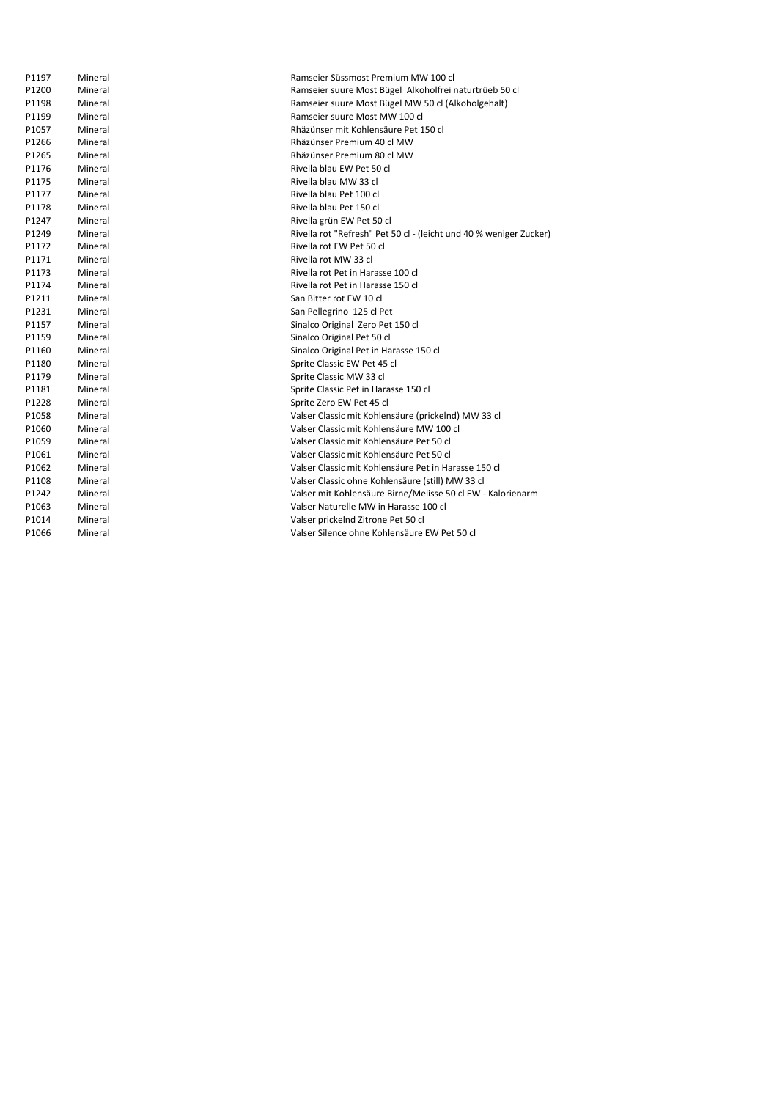| P1197 | Mineral | Ramseier Süssmost Premium MW 100 cl                                |
|-------|---------|--------------------------------------------------------------------|
| P1200 | Mineral | Ramseier suure Most Bügel Alkoholfrei naturtrüeb 50 cl             |
| P1198 | Mineral | Ramseier suure Most Bügel MW 50 cl (Alkoholgehalt)                 |
| P1199 | Mineral | Ramseier suure Most MW 100 cl                                      |
| P1057 | Mineral | Rhäzünser mit Kohlensäure Pet 150 cl                               |
| P1266 | Mineral | Rhäzünser Premium 40 cl MW                                         |
| P1265 | Mineral | Rhäzünser Premium 80 cl MW                                         |
| P1176 | Mineral | Rivella blau EW Pet 50 cl                                          |
| P1175 | Mineral | Rivella blau MW 33 cl                                              |
| P1177 | Mineral | Rivella blau Pet 100 cl                                            |
| P1178 | Mineral | Rivella blau Pet 150 cl                                            |
| P1247 | Mineral | Rivella grün EW Pet 50 cl                                          |
| P1249 | Mineral | Rivella rot "Refresh" Pet 50 cl - (leicht und 40 % weniger Zucker) |
| P1172 | Mineral | Rivella rot EW Pet 50 cl                                           |
| P1171 | Mineral | Rivella rot MW 33 cl                                               |
| P1173 | Mineral | Rivella rot Pet in Harasse 100 cl                                  |
| P1174 | Mineral | Rivella rot Pet in Harasse 150 cl                                  |
| P1211 | Mineral | San Bitter rot EW 10 cl                                            |
| P1231 | Mineral | San Pellegrino 125 cl Pet                                          |
| P1157 | Mineral | Sinalco Original Zero Pet 150 cl                                   |
| P1159 | Mineral | Sinalco Original Pet 50 cl                                         |
| P1160 | Mineral | Sinalco Original Pet in Harasse 150 cl                             |
| P1180 | Mineral | Sprite Classic EW Pet 45 cl                                        |
| P1179 | Mineral | Sprite Classic MW 33 cl                                            |
| P1181 | Mineral | Sprite Classic Pet in Harasse 150 cl                               |
| P1228 | Mineral | Sprite Zero EW Pet 45 cl                                           |
| P1058 | Mineral | Valser Classic mit Kohlensäure (prickelnd) MW 33 cl                |
| P1060 | Mineral | Valser Classic mit Kohlensäure MW 100 cl                           |
| P1059 | Mineral | Valser Classic mit Kohlensäure Pet 50 cl                           |
| P1061 | Mineral | Valser Classic mit Kohlensäure Pet 50 cl                           |
| P1062 | Mineral | Valser Classic mit Kohlensäure Pet in Harasse 150 cl               |
| P1108 | Mineral | Valser Classic ohne Kohlensäure (still) MW 33 cl                   |
| P1242 | Mineral | Valser mit Kohlensäure Birne/Melisse 50 cl EW - Kalorienarm        |
| P1063 | Mineral | Valser Naturelle MW in Harasse 100 cl                              |
| P1014 | Mineral | Valser prickelnd Zitrone Pet 50 cl                                 |
| P1066 | Mineral | Valser Silence ohne Kohlensäure EW Pet 50 cl                       |
|       |         |                                                                    |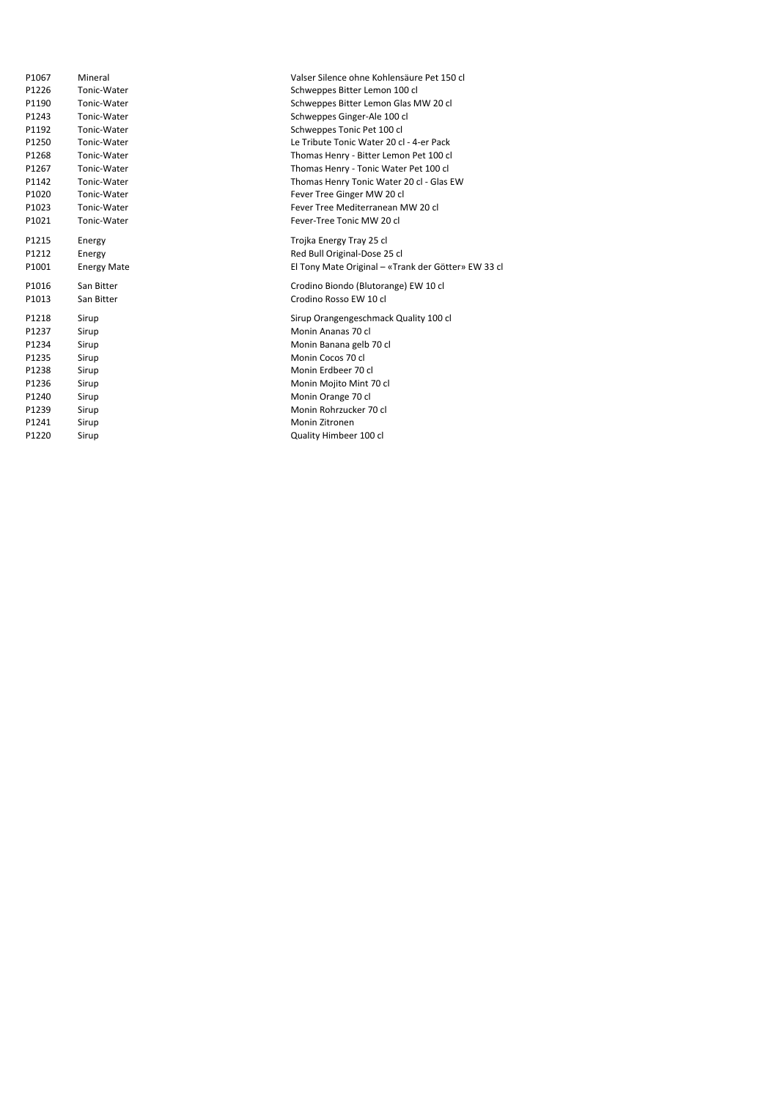| P1067 | Mineral            | Valser Silence ohne Kohlensäure Pet 150 cl          |
|-------|--------------------|-----------------------------------------------------|
| P1226 | Tonic-Water        | Schweppes Bitter Lemon 100 cl                       |
| P1190 | Tonic-Water        | Schweppes Bitter Lemon Glas MW 20 cl                |
| P1243 | Tonic-Water        | Schweppes Ginger-Ale 100 cl                         |
| P1192 | Tonic-Water        | Schweppes Tonic Pet 100 cl                          |
| P1250 | Tonic-Water        | Le Tribute Tonic Water 20 cl - 4-er Pack            |
| P1268 | Tonic-Water        | Thomas Henry - Bitter Lemon Pet 100 cl              |
| P1267 | Tonic-Water        | Thomas Henry - Tonic Water Pet 100 cl               |
| P1142 | Tonic-Water        | Thomas Henry Tonic Water 20 cl - Glas EW            |
| P1020 | Tonic-Water        | Fever Tree Ginger MW 20 cl                          |
| P1023 | Tonic-Water        | Fever Tree Mediterranean MW 20 cl                   |
| P1021 | Tonic-Water        | Fever-Tree Tonic MW 20 cl                           |
| P1215 | Energy             | Trojka Energy Tray 25 cl                            |
| P1212 | Energy             | Red Bull Original-Dose 25 cl                        |
| P1001 | <b>Energy Mate</b> | El Tony Mate Original - «Trank der Götter» EW 33 cl |
| P1016 | San Bitter         | Crodino Biondo (Blutorange) EW 10 cl                |
| P1013 | San Bitter         | Crodino Rosso EW 10 cl                              |
| P1218 | Sirup              | Sirup Orangengeschmack Quality 100 cl               |
| P1237 | Sirup              | Monin Ananas 70 cl                                  |
| P1234 | Sirup              | Monin Banana gelb 70 cl                             |
| P1235 | Sirup              | Monin Cocos 70 cl                                   |
| P1238 | Sirup              | Monin Erdbeer 70 cl                                 |
| P1236 | Sirup              | Monin Mojito Mint 70 cl                             |
| P1240 | Sirup              | Monin Orange 70 cl                                  |
| P1239 | Sirup              | Monin Rohrzucker 70 cl                              |
| P1241 | Sirup              | Monin Zitronen                                      |
| P1220 | Sirup              | Quality Himbeer 100 cl                              |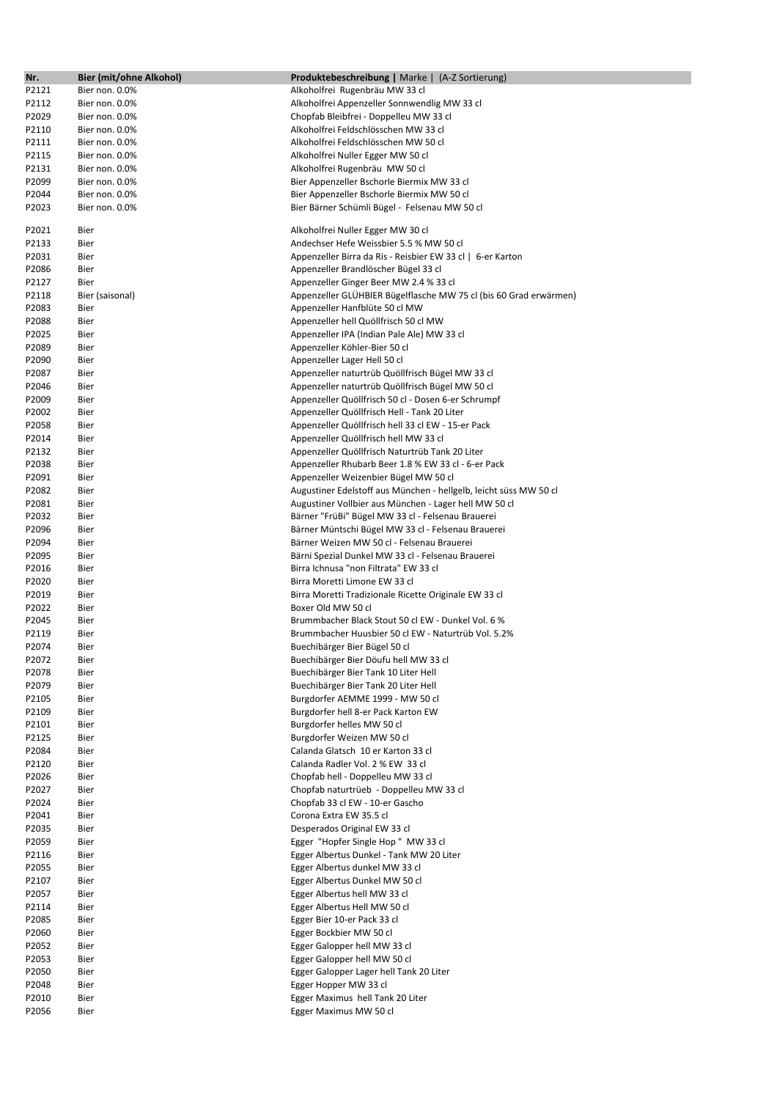| Nr.   | Bier (mit/ohne Alkohol) | <b>Produktebeschreibung</b>   Marke   (A-Z Sortierung)            |
|-------|-------------------------|-------------------------------------------------------------------|
| P2121 | Bier non. 0.0%          | Alkoholfrei Rugenbräu MW 33 cl                                    |
| P2112 | Bier non. 0.0%          | Alkoholfrei Appenzeller Sonnwendlig MW 33 cl                      |
| P2029 | Bier non. 0.0%          | Chopfab Bleibfrei - Doppelleu MW 33 cl                            |
| P2110 | Bier non. 0.0%          | Alkoholfrei Feldschlösschen MW 33 cl                              |
| P2111 | Bier non. 0.0%          | Alkoholfrei Feldschlösschen MW 50 cl                              |
| P2115 | Bier non. 0.0%          | Alkoholfrei Nuller Egger MW 50 cl                                 |
| P2131 | Bier non. 0.0%          | Alkoholfrei Rugenbräu MW 50 cl                                    |
| P2099 | Bier non. 0.0%          | Bier Appenzeller Bschorle Biermix MW 33 cl                        |
| P2044 | Bier non. 0.0%          | Bier Appenzeller Bschorle Biermix MW 50 cl                        |
| P2023 | Bier non. 0.0%          |                                                                   |
|       |                         | Bier Bärner Schümli Bügel - Felsenau MW 50 cl                     |
| P2021 | Bier                    | Alkoholfrei Nuller Egger MW 30 cl                                 |
| P2133 | Bier                    | Andechser Hefe Weissbier 5.5 % MW 50 cl                           |
| P2031 | Bier                    | Appenzeller Birra da Ris - Reisbier EW 33 cl   6-er Karton        |
| P2086 | Bier                    | Appenzeller Brandlöscher Bügel 33 cl                              |
| P2127 | Bier                    | Appenzeller Ginger Beer MW 2.4 % 33 cl                            |
| P2118 | Bier (saisonal)         | Appenzeller GLÜHBIER Bügelflasche MW 75 cl (bis 60 Grad erwärmen) |
| P2083 | Bier                    | Appenzeller Hanfblüte 50 cl MW                                    |
| P2088 | Bier                    | Appenzeller hell Quöllfrisch 50 cl MW                             |
| P2025 | Bier                    | Appenzeller IPA (Indian Pale Ale) MW 33 cl                        |
| P2089 | Bier                    | Appenzeller Köhler-Bier 50 cl                                     |
|       |                         |                                                                   |
| P2090 | Bier                    | Appenzeller Lager Hell 50 cl                                      |
| P2087 | Bier                    | Appenzeller naturtrüb Quöllfrisch Bügel MW 33 cl                  |
| P2046 | Bier                    | Appenzeller naturtrüb Quöllfrisch Bügel MW 50 cl                  |
| P2009 | Bier                    | Appenzeller Quöllfrisch 50 cl - Dosen 6-er Schrumpf               |
| P2002 | Bier                    | Appenzeller Quöllfrisch Hell - Tank 20 Liter                      |
| P2058 | Bier                    | Appenzeller Quöllfrisch hell 33 cl EW - 15-er Pack                |
| P2014 | Bier                    | Appenzeller Quöllfrisch hell MW 33 cl                             |
| P2132 | Bier                    | Appenzeller Quöllfrisch Naturtrüb Tank 20 Liter                   |
| P2038 | Bier                    | Appenzeller Rhubarb Beer 1.8 % EW 33 cl - 6-er Pack               |
| P2091 | Bier                    | Appenzeller Weizenbier Bügel MW 50 cl                             |
| P2082 | Bier                    | Augustiner Edelstoff aus München - hellgelb, leicht süss MW 50 cl |
| P2081 | Bier                    | Augustiner Vollbier aus München - Lager hell MW 50 cl             |
| P2032 | Bier                    | Bärner "FrüBi" Bügel MW 33 cl - Felsenau Brauerei                 |
| P2096 | Bier                    | Bärner Müntschi Bügel MW 33 cl - Felsenau Brauerei                |
| P2094 | Bier                    | Bärner Weizen MW 50 cl - Felsenau Brauerei                        |
| P2095 | Bier                    | Bärni Spezial Dunkel MW 33 cl - Felsenau Brauerei                 |
| P2016 | Bier                    | Birra Ichnusa "non Filtrata" EW 33 cl                             |
| P2020 | Bier                    | Birra Moretti Limone EW 33 cl                                     |
| P2019 | Bier                    | Birra Moretti Tradizionale Ricette Originale EW 33 cl             |
| P2022 | Bier                    | Boxer Old MW 50 cl                                                |
| P2045 | Bier                    | Brummbacher Black Stout 50 cl EW - Dunkel Vol. 6 %                |
| P2119 | Bier                    | Brummbacher Huusbier 50 cl EW - Naturtrüb Vol. 5.2%               |
| P2074 | Bier                    | Buechibärger Bier Bügel 50 cl                                     |
| P2072 | Bier                    | Buechibärger Bier Döufu hell MW 33 cl                             |
| P2078 | Bier                    | Buechibärger Bier Tank 10 Liter Hell                              |
| P2079 | Bier                    | Buechibärger Bier Tank 20 Liter Hell                              |
| P2105 | Bier                    | Burgdorfer AEMME 1999 - MW 50 cl                                  |
| P2109 | Bier                    | Burgdorfer hell 8-er Pack Karton EW                               |
| P2101 | Bier                    | Burgdorfer helles MW 50 cl                                        |
| P2125 | Bier                    | Burgdorfer Weizen MW 50 cl                                        |
| P2084 | Bier                    | Calanda Glatsch 10 er Karton 33 cl                                |
| P2120 | Bier                    | Calanda Radler Vol. 2 % EW 33 cl                                  |
| P2026 | Bier                    | Chopfab hell - Doppelleu MW 33 cl                                 |
| P2027 | Bier                    | Chopfab naturtrüeb - Doppelleu MW 33 cl                           |
| P2024 | Bier                    | Chopfab 33 cl EW - 10-er Gascho                                   |
| P2041 | Bier                    | Corona Extra EW 35.5 cl                                           |
| P2035 | Bier                    | Desperados Original EW 33 cl                                      |
| P2059 | Bier                    | Egger "Hopfer Single Hop" MW 33 cl                                |
| P2116 | Bier                    | Egger Albertus Dunkel - Tank MW 20 Liter                          |
|       |                         |                                                                   |
| P2055 | Bier                    | Egger Albertus dunkel MW 33 cl                                    |
| P2107 | Bier                    | Egger Albertus Dunkel MW 50 cl                                    |
| P2057 | Bier                    | Egger Albertus hell MW 33 cl                                      |
| P2114 | Bier                    | Egger Albertus Hell MW 50 cl                                      |
| P2085 | Bier                    | Egger Bier 10-er Pack 33 cl                                       |
| P2060 | Bier                    | Egger Bockbier MW 50 cl                                           |
| P2052 | Bier                    | Egger Galopper hell MW 33 cl                                      |
| P2053 | Bier                    | Egger Galopper hell MW 50 cl                                      |
| P2050 | Bier                    | Egger Galopper Lager hell Tank 20 Liter                           |
| P2048 | Bier                    | Egger Hopper MW 33 cl                                             |
| P2010 | Bier                    | Egger Maximus hell Tank 20 Liter                                  |
| P2056 | Bier                    | Egger Maximus MW 50 cl                                            |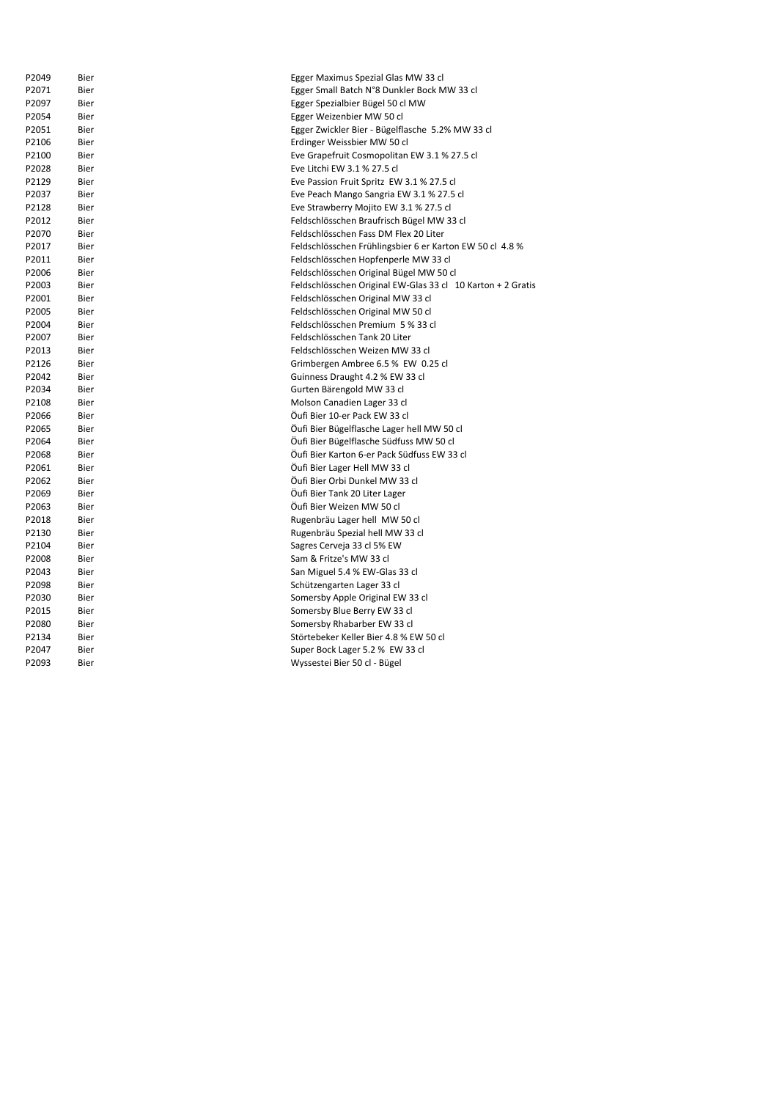| P2049 | Bier | Egger Maximus Spezial Glas MW 33 cl                         |
|-------|------|-------------------------------------------------------------|
| P2071 | Bier | Egger Small Batch N°8 Dunkler Bock MW 33 cl                 |
| P2097 | Bier | Egger Spezialbier Bügel 50 cl MW                            |
| P2054 | Bier | Egger Weizenbier MW 50 cl                                   |
| P2051 | Bier | Egger Zwickler Bier - Bügelflasche 5.2% MW 33 cl            |
| P2106 | Bier | Erdinger Weissbier MW 50 cl                                 |
| P2100 | Bier | Eve Grapefruit Cosmopolitan EW 3.1 % 27.5 cl                |
| P2028 | Bier | Eve Litchi EW 3.1 % 27.5 cl                                 |
| P2129 | Bier | Eve Passion Fruit Spritz EW 3.1 % 27.5 cl                   |
| P2037 | Bier | Eve Peach Mango Sangria EW 3.1 % 27.5 cl                    |
| P2128 | Bier | Eve Strawberry Mojito EW 3.1 % 27.5 cl                      |
| P2012 | Bier | Feldschlösschen Braufrisch Bügel MW 33 cl                   |
| P2070 | Bier | Feldschlösschen Fass DM Flex 20 Liter                       |
| P2017 | Bier | Feldschlösschen Frühlingsbier 6 er Karton EW 50 cl 4.8 %    |
| P2011 | Bier | Feldschlösschen Hopfenperle MW 33 cl                        |
| P2006 | Bier | Feldschlösschen Original Bügel MW 50 cl                     |
| P2003 | Bier | Feldschlösschen Original EW-Glas 33 cl 10 Karton + 2 Gratis |
| P2001 | Bier | Feldschlösschen Original MW 33 cl                           |
| P2005 | Bier | Feldschlösschen Original MW 50 cl                           |
| P2004 | Bier | Feldschlösschen Premium 5 % 33 cl                           |
| P2007 | Bier | Feldschlösschen Tank 20 Liter                               |
| P2013 | Bier | Feldschlösschen Weizen MW 33 cl                             |
| P2126 | Bier | Grimbergen Ambree 6.5 % EW 0.25 cl                          |
| P2042 | Bier | Guinness Draught 4.2 % EW 33 cl                             |
| P2034 | Bier | Gurten Bärengold MW 33 cl                                   |
| P2108 | Bier | Molson Canadien Lager 33 cl                                 |
| P2066 | Bier | Öufi Bier 10-er Pack EW 33 cl                               |
| P2065 | Bier | Öufi Bier Bügelflasche Lager hell MW 50 cl                  |
| P2064 | Bier | Öufi Bier Bügelflasche Südfuss MW 50 cl                     |
| P2068 | Bier | Öufi Bier Karton 6-er Pack Südfuss EW 33 cl                 |
| P2061 | Bier | Öufi Bier Lager Hell MW 33 cl                               |
| P2062 | Bier | Öufi Bier Orbi Dunkel MW 33 cl                              |
| P2069 | Bier | Öufi Bier Tank 20 Liter Lager                               |
| P2063 | Bier | Öufi Bier Weizen MW 50 cl                                   |
| P2018 | Bier | Rugenbräu Lager hell MW 50 cl                               |
| P2130 | Bier | Rugenbräu Spezial hell MW 33 cl                             |
| P2104 | Bier | Sagres Cerveja 33 cl 5% EW                                  |
| P2008 | Bier | Sam & Fritze's MW 33 cl                                     |
| P2043 | Bier | San Miguel 5.4 % EW-Glas 33 cl                              |
| P2098 | Bier | Schützengarten Lager 33 cl                                  |
| P2030 | Bier | Somersby Apple Original EW 33 cl                            |
| P2015 | Bier | Somersby Blue Berry EW 33 cl                                |
| P2080 | Bier | Somersby Rhabarber EW 33 cl                                 |
| P2134 | Bier | Störtebeker Keller Bier 4.8 % EW 50 cl                      |
| P2047 | Bier | Super Bock Lager 5.2 % EW 33 cl                             |
| P2093 | Bier | Wyssestei Bier 50 cl - Bügel                                |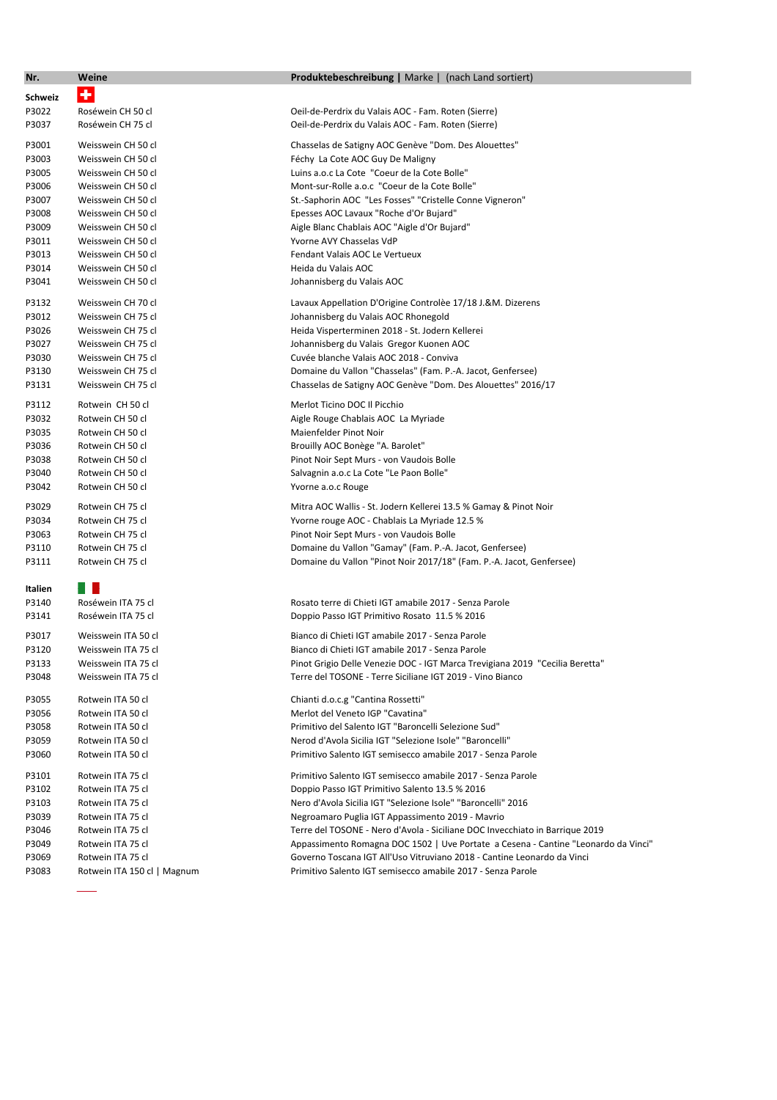| Nr.     | Weine                       | Produktebeschreibung   Marke   (nach Land sortiert)                                |
|---------|-----------------------------|------------------------------------------------------------------------------------|
| Schweiz | ٠                           |                                                                                    |
| P3022   | Roséwein CH 50 cl           | Oeil-de-Perdrix du Valais AOC - Fam. Roten (Sierre)                                |
| P3037   | Roséwein CH 75 cl           | Oeil-de-Perdrix du Valais AOC - Fam. Roten (Sierre)                                |
|         |                             |                                                                                    |
| P3001   | Weisswein CH 50 cl          | Chasselas de Satigny AOC Genève "Dom. Des Alouettes"                               |
| P3003   | Weisswein CH 50 cl          | Féchy La Cote AOC Guy De Maligny                                                   |
| P3005   | Weisswein CH 50 cl          | Luins a.o.c La Cote "Coeur de la Cote Bolle"                                       |
| P3006   | Weisswein CH 50 cl          | Mont-sur-Rolle a.o.c "Coeur de la Cote Bolle"                                      |
| P3007   | Weisswein CH 50 cl          | St.-Saphorin AOC "Les Fosses" "Cristelle Conne Vigneron"                           |
| P3008   | Weisswein CH 50 cl          | Epesses AOC Lavaux "Roche d'Or Bujard"                                             |
| P3009   | Weisswein CH 50 cl          | Aigle Blanc Chablais AOC "Aigle d'Or Bujard"                                       |
| P3011   | Weisswein CH 50 cl          | Yvorne AVY Chasselas VdP                                                           |
| P3013   | Weisswein CH 50 cl          | Fendant Valais AOC Le Vertueux                                                     |
| P3014   | Weisswein CH 50 cl          | Heida du Valais AOC                                                                |
| P3041   | Weisswein CH 50 cl          | Johannisberg du Valais AOC                                                         |
| P3132   | Weisswein CH 70 cl          | Lavaux Appellation D'Origine Controlèe 17/18 J.&M. Dizerens                        |
| P3012   | Weisswein CH 75 cl          | Johannisberg du Valais AOC Rhonegold                                               |
| P3026   | Weisswein CH 75 cl          | Heida Visperterminen 2018 - St. Jodern Kellerei                                    |
| P3027   | Weisswein CH 75 cl          | Johannisberg du Valais Gregor Kuonen AOC                                           |
| P3030   | Weisswein CH 75 cl          | Cuvée blanche Valais AOC 2018 - Conviva                                            |
| P3130   | Weisswein CH 75 cl          | Domaine du Vallon "Chasselas" (Fam. P.-A. Jacot, Genfersee)                        |
| P3131   | Weisswein CH 75 cl          | Chasselas de Satigny AOC Genève "Dom. Des Alouettes" 2016/17                       |
| P3112   | Rotwein CH 50 cl            | Merlot Ticino DOC Il Picchio                                                       |
| P3032   | Rotwein CH 50 cl            | Aigle Rouge Chablais AOC La Myriade                                                |
| P3035   | Rotwein CH 50 cl            | Maienfelder Pinot Noir                                                             |
| P3036   | Rotwein CH 50 cl            | Brouilly AOC Bonège "A. Barolet"                                                   |
| P3038   | Rotwein CH 50 cl            | Pinot Noir Sept Murs - von Vaudois Bolle                                           |
| P3040   | Rotwein CH 50 cl            | Salvagnin a.o.c La Cote "Le Paon Bolle"                                            |
| P3042   | Rotwein CH 50 cl            | Yvorne a.o.c Rouge                                                                 |
| P3029   | Rotwein CH 75 cl            | Mitra AOC Wallis - St. Jodern Kellerei 13.5 % Gamay & Pinot Noir                   |
| P3034   | Rotwein CH 75 cl            | Yvorne rouge AOC - Chablais La Myriade 12.5 %                                      |
| P3063   | Rotwein CH 75 cl            | Pinot Noir Sept Murs - von Vaudois Bolle                                           |
| P3110   | Rotwein CH 75 cl            | Domaine du Vallon "Gamay" (Fam. P.-A. Jacot, Genfersee)                            |
| P3111   | Rotwein CH 75 cl            | Domaine du Vallon "Pinot Noir 2017/18" (Fam. P.-A. Jacot, Genfersee)               |
| Italien | n i s                       |                                                                                    |
| P3140   | Roséwein ITA 75 cl          | Rosato terre di Chieti IGT amabile 2017 - Senza Parole                             |
| P3141   | Roséwein ITA 75 cl          | Doppio Passo IGT Primitivo Rosato 11.5 % 2016                                      |
| P3017   | Weisswein ITA 50 cl         | Bianco di Chieti IGT amabile 2017 - Senza Parole                                   |
| P3120   | Weisswein ITA 75 cl         | Bianco di Chieti IGT amabile 2017 - Senza Parole                                   |
| P3133   | Weisswein ITA 75 cl         | Pinot Grigio Delle Venezie DOC - IGT Marca Trevigiana 2019 "Cecilia Beretta"       |
| P3048   | Weisswein ITA 75 cl         | Terre del TOSONE - Terre Siciliane IGT 2019 - Vino Bianco                          |
| P3055   | Rotwein ITA 50 cl           | Chianti d.o.c.g "Cantina Rossetti"                                                 |
| P3056   | Rotwein ITA 50 cl           | Merlot del Veneto IGP "Cavatina"                                                   |
| P3058   | Rotwein ITA 50 cl           | Primitivo del Salento IGT "Baroncelli Selezione Sud"                               |
| P3059   | Rotwein ITA 50 cl           | Nerod d'Avola Sicilia IGT "Selezione Isole" "Baroncelli"                           |
| P3060   | Rotwein ITA 50 cl           | Primitivo Salento IGT semisecco amabile 2017 - Senza Parole                        |
| P3101   | Rotwein ITA 75 cl           | Primitivo Salento IGT semisecco amabile 2017 - Senza Parole                        |
| P3102   | Rotwein ITA 75 cl           | Doppio Passo IGT Primitivo Salento 13.5 % 2016                                     |
| P3103   | Rotwein ITA 75 cl           | Nero d'Avola Sicilia IGT "Selezione Isole" "Baroncelli" 2016                       |
| P3039   | Rotwein ITA 75 cl           | Negroamaro Puglia IGT Appassimento 2019 - Mavrio                                   |
| P3046   | Rotwein ITA 75 cl           | Terre del TOSONE - Nero d'Avola - Siciliane DOC Invecchiato in Barrique 2019       |
| P3049   | Rotwein ITA 75 cl           | Appassimento Romagna DOC 1502   Uve Portate a Cesena - Cantine "Leonardo da Vinci" |
| P3069   | Rotwein ITA 75 cl           | Governo Toscana IGT All'Uso Vitruviano 2018 - Cantine Leonardo da Vinci            |
| P3083   | Rotwein ITA 150 cl   Magnum | Primitivo Salento IGT semisecco amabile 2017 - Senza Parole                        |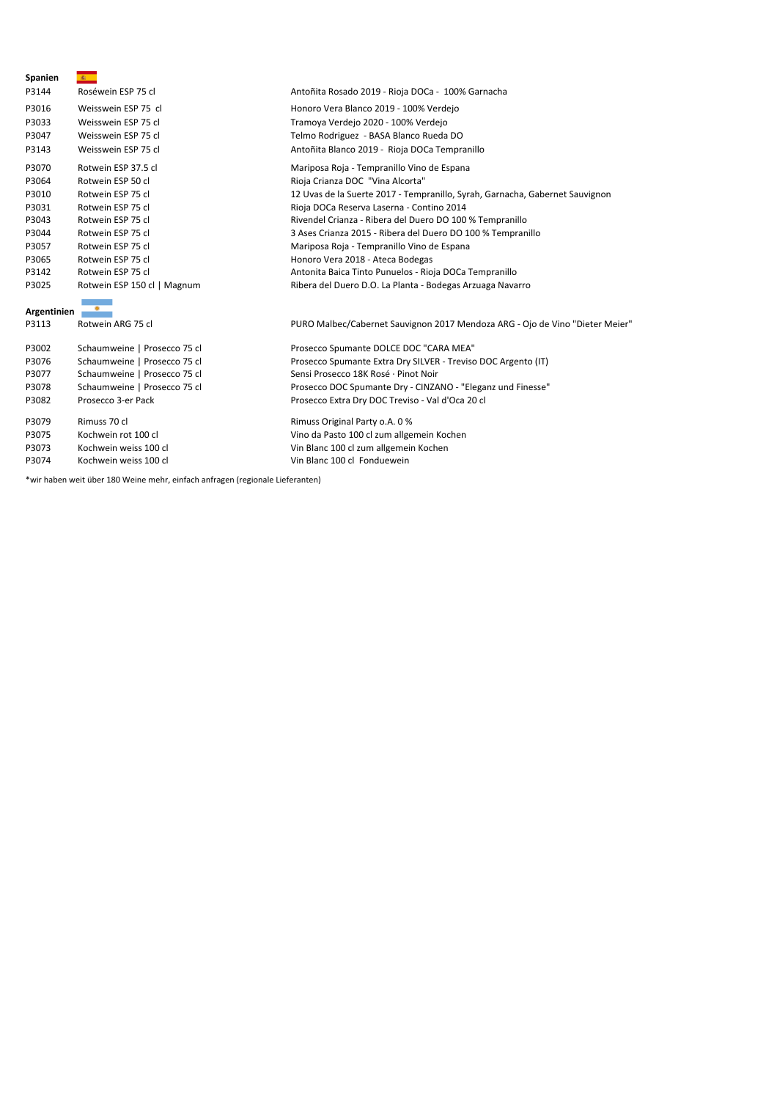| Spanien     | 激。                           |                                                                              |
|-------------|------------------------------|------------------------------------------------------------------------------|
| P3144       | Roséwein ESP 75 cl           | Antoñita Rosado 2019 - Rioja DOCa - 100% Garnacha                            |
| P3016       | Weisswein ESP 75 cl          | Honoro Vera Blanco 2019 - 100% Verdejo                                       |
| P3033       | Weisswein ESP 75 cl          | Tramoya Verdejo 2020 - 100% Verdejo                                          |
| P3047       | Weisswein ESP 75 cl          | Telmo Rodriguez - BASA Blanco Rueda DO                                       |
| P3143       | Weisswein ESP 75 cl          | Antoñita Blanco 2019 - Rioja DOCa Tempranillo                                |
| P3070       | Rotwein ESP 37.5 cl          | Mariposa Roja - Tempranillo Vino de Espana                                   |
| P3064       | Rotwein ESP 50 cl            | Rioja Crianza DOC "Vina Alcorta"                                             |
| P3010       | Rotwein ESP 75 cl            | 12 Uvas de la Suerte 2017 - Tempranillo, Syrah, Garnacha, Gabernet Sauvignon |
| P3031       | Rotwein ESP 75 cl            | Rioja DOCa Reserva Laserna - Contino 2014                                    |
| P3043       | Rotwein ESP 75 cl            | Rivendel Crianza - Ribera del Duero DO 100 % Tempranillo                     |
| P3044       | Rotwein ESP 75 cl            | 3 Ases Crianza 2015 - Ribera del Duero DO 100 % Tempranillo                  |
| P3057       | Rotwein ESP 75 cl            | Mariposa Roja - Tempranillo Vino de Espana                                   |
| P3065       | Rotwein ESP 75 cl            | Honoro Vera 2018 - Ateca Bodegas                                             |
| P3142       | Rotwein ESP 75 cl            | Antonita Baica Tinto Punuelos - Rioja DOCa Tempranillo                       |
| P3025       | Rotwein ESP 150 cl   Magnum  | Ribera del Duero D.O. La Planta - Bodegas Arzuaga Navarro                    |
| Argentinien |                              |                                                                              |
| P3113       | Rotwein ARG 75 cl            | PURO Malbec/Cabernet Sauvignon 2017 Mendoza ARG - Ojo de Vino "Dieter Meier" |
| P3002       | Schaumweine   Prosecco 75 cl | Prosecco Spumante DOLCE DOC "CARA MEA"                                       |
| P3076       | Schaumweine   Prosecco 75 cl | Prosecco Spumante Extra Dry SILVER - Treviso DOC Argento (IT)                |
| P3077       | Schaumweine   Prosecco 75 cl | Sensi Prosecco 18K Rosé · Pinot Noir                                         |
| P3078       | Schaumweine   Prosecco 75 cl | Prosecco DOC Spumante Dry - CINZANO - "Eleganz und Finesse"                  |
| P3082       | Prosecco 3-er Pack           | Prosecco Extra Dry DOC Treviso - Val d'Oca 20 cl                             |
| P3079       | Rimuss 70 cl                 | Rimuss Original Party o.A. 0 %                                               |
| P3075       | Kochwein rot 100 cl          | Vino da Pasto 100 cl zum allgemein Kochen                                    |
| P3073       | Kochwein weiss 100 cl        | Vin Blanc 100 cl zum allgemein Kochen                                        |
| P3074       | Kochwein weiss 100 cl        | Vin Blanc 100 cl Fonduewein                                                  |

\*wir haben weit über 180 Weine mehr, einfach anfragen (regionale Lieferanten)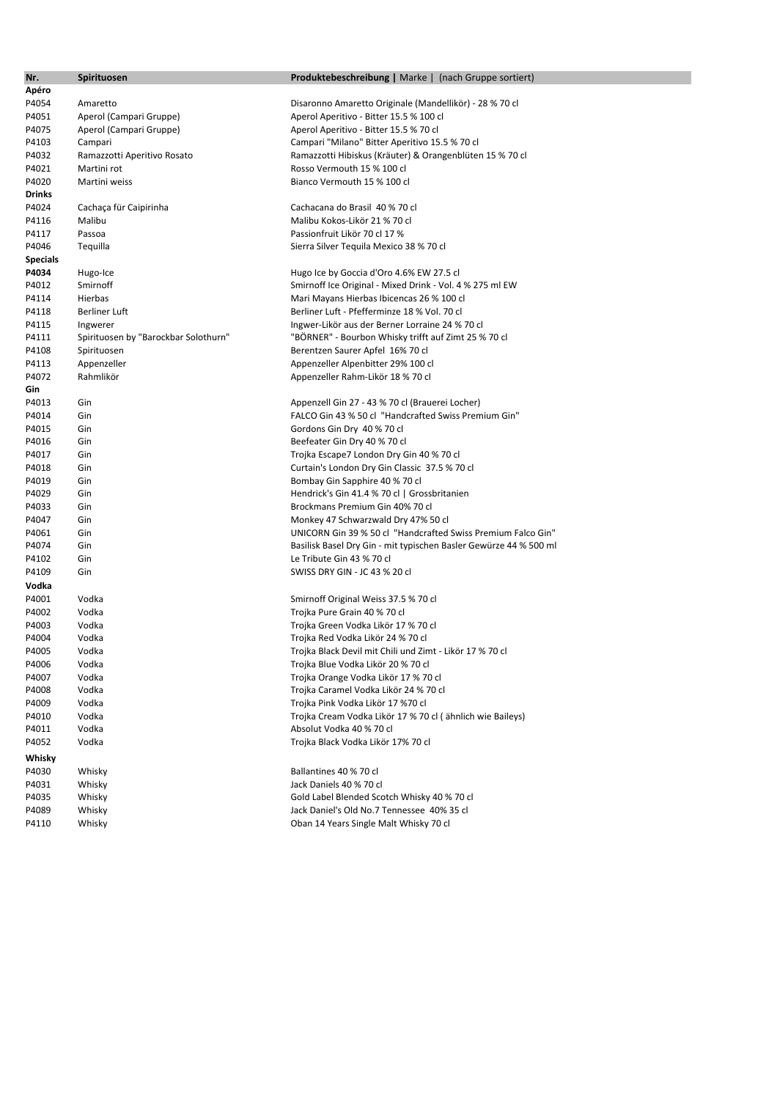| Nr.             | Spirituosen                          | <b>Produktebeschreibung</b>   Marke   (nach Gruppe sortiert)      |
|-----------------|--------------------------------------|-------------------------------------------------------------------|
| Apéro           |                                      |                                                                   |
| P4054           | Amaretto                             | Disaronno Amaretto Originale (Mandellikör) - 28 % 70 cl           |
| P4051           | Aperol (Campari Gruppe)              | Aperol Aperitivo - Bitter 15.5 % 100 cl                           |
| P4075           | Aperol (Campari Gruppe)              | Aperol Aperitivo - Bitter 15.5 % 70 cl                            |
| P4103           | Campari                              | Campari "Milano" Bitter Aperitivo 15.5 % 70 cl                    |
| P4032           | Ramazzotti Aperitivo Rosato          | Ramazzotti Hibiskus (Kräuter) & Orangenblüten 15 % 70 cl          |
| P4021           | Martini rot                          | Rosso Vermouth 15 % 100 cl                                        |
| P4020           | Martini weiss                        | Bianco Vermouth 15 % 100 cl                                       |
| Drinks          |                                      |                                                                   |
| P4024           | Cachaça für Caipirinha               | Cachacana do Brasil 40 % 70 cl                                    |
| P4116           | Malibu                               | Malibu Kokos-Likör 21 % 70 cl                                     |
| P4117           | Passoa                               | Passionfruit Likör 70 cl 17 %                                     |
| P4046           | Tequilla                             | Sierra Silver Tequila Mexico 38 % 70 cl                           |
| <b>Specials</b> |                                      |                                                                   |
| P4034           | Hugo-Ice                             | Hugo Ice by Goccia d'Oro 4.6% EW 27.5 cl                          |
| P4012           | Smirnoff                             | Smirnoff Ice Original - Mixed Drink - Vol. 4 % 275 ml EW          |
| P4114           | Hierbas                              | Mari Mayans Hierbas Ibicencas 26 % 100 cl                         |
| P4118           | <b>Berliner Luft</b>                 | Berliner Luft - Pfefferminze 18 % Vol. 70 cl                      |
| P4115           | Ingwerer                             | Ingwer-Likör aus der Berner Lorraine 24 % 70 cl                   |
| P4111           | Spirituosen by "Barockbar Solothurn" | "BORNER" - Bourbon Whisky trifft auf Zimt 25 % 70 cl              |
| P4108           | Spirituosen                          | Berentzen Saurer Apfel 16% 70 cl                                  |
| P4113           | Appenzeller                          | Appenzeller Alpenbitter 29% 100 cl                                |
| P4072           | Rahmlikör                            | Appenzeller Rahm-Likör 18 % 70 cl                                 |
| Gin             |                                      |                                                                   |
| P4013           | Gin                                  | Appenzell Gin 27 - 43 % 70 cl (Brauerei Locher)                   |
| P4014           | Gin                                  | FALCO Gin 43 % 50 cl "Handcrafted Swiss Premium Gin"              |
| P4015           | Gin                                  | Gordons Gin Dry 40 % 70 cl                                        |
| P4016           | Gin                                  | Beefeater Gin Dry 40 % 70 cl                                      |
| P4017           | Gin                                  | Trojka Escape7 London Dry Gin 40 % 70 cl                          |
| P4018           | Gin                                  | Curtain's London Dry Gin Classic 37.5 % 70 cl                     |
| P4019           | Gin                                  | Bombay Gin Sapphire 40 % 70 cl                                    |
| P4029           | Gin                                  | Hendrick's Gin 41.4 % 70 cl   Grossbritanien                      |
| P4033           | Gin                                  | Brockmans Premium Gin 40% 70 cl                                   |
| P4047           | Gin                                  | Monkey 47 Schwarzwald Dry 47% 50 cl                               |
| P4061           | Gin                                  | UNICORN Gin 39 % 50 cl "Handcrafted Swiss Premium Falco Gin"      |
| P4074           | Gin                                  | Basilisk Basel Dry Gin - mit typischen Basler Gewürze 44 % 500 ml |
| P4102           | Gin                                  | Le Tribute Gin 43 % 70 cl                                         |
| P4109           | Gin                                  | SWISS DRY GIN - JC 43 % 20 cl                                     |
| Vodka           |                                      |                                                                   |
| P4001           | Vodka                                | Smirnoff Original Weiss 37.5 % 70 cl                              |
| P4002           | Vodka                                | Trojka Pure Grain 40 % 70 cl                                      |
| P4003           | Vodka                                | Trojka Green Vodka Likör 17 % 70 cl                               |
| P4004           | Vodka                                | Trojka Red Vodka Likör 24 % 70 cl                                 |
| P4005           | Vodka                                | Trojka Black Devil mit Chili und Zimt - Likör 17 % 70 cl          |
| P4006           | Vodka                                | Trojka Blue Vodka Likör 20 % 70 cl                                |
| P4007           | Vodka                                | Trojka Orange Vodka Likör 17 % 70 cl                              |
| P4008           | Vodka                                | Trojka Caramel Vodka Likör 24 % 70 cl                             |
| P4009           | Vodka                                | Trojka Pink Vodka Likör 17 %70 cl                                 |
| P4010           | Vodka                                | Trojka Cream Vodka Likör 17 % 70 cl (ähnlich wie Baileys)         |
| P4011           | Vodka                                | Absolut Vodka 40 % 70 cl                                          |
| P4052           | Vodka                                | Trojka Black Vodka Likör 17% 70 cl                                |
| Whisky          |                                      |                                                                   |
| P4030           | Whisky                               | Ballantines 40 % 70 cl                                            |
| P4031           | Whisky                               | Jack Daniels 40 % 70 cl                                           |
| P4035           | Whisky                               | Gold Label Blended Scotch Whisky 40 % 70 cl                       |
| P4089           | Whisky                               | Jack Daniel's Old No.7 Tennessee 40% 35 cl                        |
| P4110           | Whisky                               | Oban 14 Years Single Malt Whisky 70 cl                            |
|                 |                                      |                                                                   |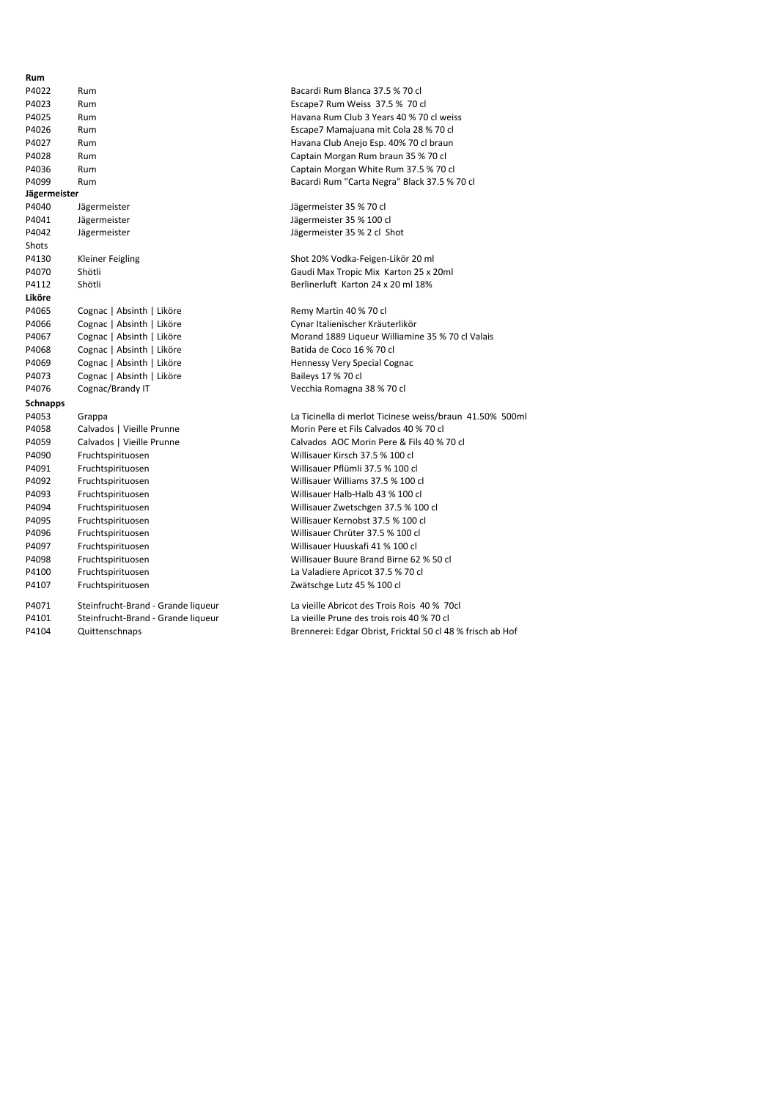| Rum             |                                    |                                              |
|-----------------|------------------------------------|----------------------------------------------|
| P4022           | Rum                                | Bacardi Rum Blanca 37.5 % 70 cl              |
| P4023           | Rum                                | Escape7 Rum Weiss 37.5 % 70 cl               |
| P4025           | Rum                                | Havana Rum Club 3 Years 40 % 70 cl weiss     |
| P4026           | Rum                                | Escape7 Mamajuana mit Cola 28 % 70 cl        |
| P4027           | Rum                                | Havana Club Anejo Esp. 40% 70 cl braun       |
| P4028           | Rum                                | Captain Morgan Rum braun 35 % 70 cl          |
| P4036           | Rum                                | Captain Morgan White Rum 37.5 % 70 cl        |
| P4099           | Rum                                | Bacardi Rum "Carta Negra" Black 37.5 % 70    |
| Jägermeister    |                                    |                                              |
| P4040           | Jägermeister                       | Jägermeister 35 % 70 cl                      |
| P4041           | Jägermeister                       | Jägermeister 35 % 100 cl                     |
| P4042           | Jägermeister                       | Jägermeister 35 % 2 cl Shot                  |
| Shots           |                                    |                                              |
| P4130           | <b>Kleiner Feigling</b>            | Shot 20% Vodka-Feigen-Likör 20 ml            |
| P4070           | Shötli                             | Gaudi Max Tropic Mix Karton 25 x 20ml        |
| P4112           | Shötli                             | Berlinerluft Karton 24 x 20 ml 18%           |
| Liköre          |                                    |                                              |
| P4065           | Cognac   Absinth   Liköre          | Remy Martin 40 % 70 cl                       |
| P4066           | Cognac   Absinth   Liköre          | Cynar Italienischer Kräuterlikör             |
| P4067           | Cognac   Absinth   Liköre          | Morand 1889 Liqueur Williamine 35 % 70 c     |
| P4068           | Cognac   Absinth   Liköre          | Batida de Coco 16 % 70 cl                    |
| P4069           | Cognac   Absinth   Liköre          | Hennessy Very Special Cognac                 |
| P4073           | Cognac   Absinth   Liköre          | Baileys 17 % 70 cl                           |
| P4076           | Cognac/Brandy IT                   | Vecchia Romagna 38 % 70 cl                   |
| <b>Schnapps</b> |                                    |                                              |
| P4053           | Grappa                             | La Ticinella di merlot Ticinese weiss/braun  |
| P4058           | Calvados   Vieille Prunne          | Morin Pere et Fils Calvados 40 % 70 cl       |
| P4059           | Calvados   Vieille Prunne          | Calvados AOC Morin Pere & Fils 40 % 70 cl    |
| P4090           | Fruchtspirituosen                  | Willisauer Kirsch 37.5 % 100 cl              |
| P4091           | Fruchtspirituosen                  | Willisauer Pflümli 37.5 % 100 cl             |
| P4092           | Fruchtspirituosen                  | Willisauer Williams 37.5 % 100 cl            |
| P4093           | Fruchtspirituosen                  | Willisauer Halb-Halb 43 % 100 cl             |
| P4094           | Fruchtspirituosen                  | Willisauer Zwetschgen 37.5 % 100 cl          |
| P4095           | Fruchtspirituosen                  | Willisauer Kernobst 37.5 % 100 cl            |
| P4096           | Fruchtspirituosen                  | Willisauer Chrüter 37.5 % 100 cl             |
| P4097           | Fruchtspirituosen                  | Willisauer Huuskafi 41 % 100 cl              |
| P4098           | Fruchtspirituosen                  | Willisauer Buure Brand Birne 62 % 50 cl      |
| P4100           | Fruchtspirituosen                  | La Valadiere Apricot 37.5 % 70 cl            |
| P4107           | Fruchtspirituosen                  | Zwätschge Lutz 45 % 100 cl                   |
| P4071           | Steinfrucht-Brand - Grande liqueur | La vieille Abricot des Trois Rois 40 % 70cl  |
| P4101           | Steinfrucht-Brand - Grande liqueur | La vieille Prune des trois rois 40 % 70 cl   |
| P4104           | Quittenschnaps                     | Brennerei: Edgar Obrist, Fricktal 50 cl 48 % |

mit Cola 28 % 70 cl p. 40% 70 cl braun braun 35 % 70 cl PM 37.5 % 70 cl egra" Black 37.5 % 70 cl en-Likör 20 ml Karton 25 x 20ml  $4 \times 20$  ml 18% Yoilliamine 35 % 70 cl Valais<br>1880 Vi Ficinese weiss/braun 41.50% 500ml vados 40 % 70 cl Pere & Fils 40 % 70 cl P.5 % 100 cl 13 % 100 cl اء 37.5 % 100 cl 7.5 % 100 cl d Birne 62 % 50 cl 7.5 % 70 cl

rois Rois 40 % 70cl pis rois 40 % 70 cl st, Fricktal 50 cl 48 % frisch ab Hof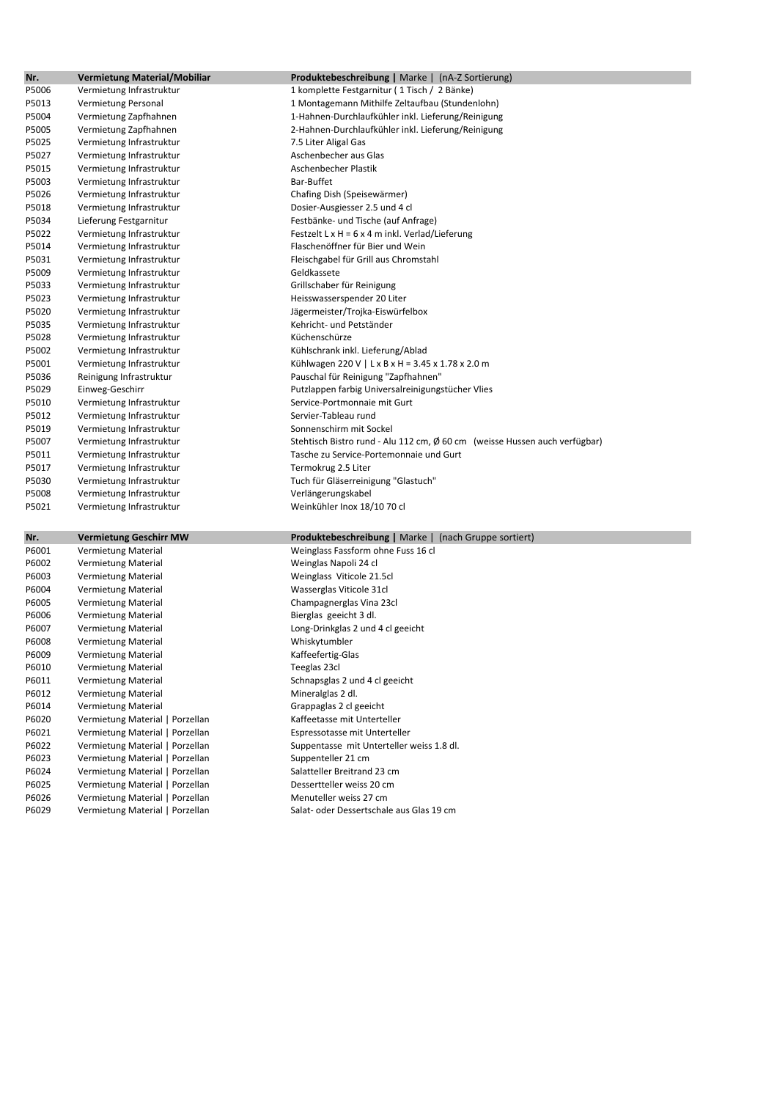| Nr.   | <b>Vermietung Material/Mobiliar</b> | <b>Produktebeschreibung</b>   Marke   (nA-Z Sortierung)                                    |
|-------|-------------------------------------|--------------------------------------------------------------------------------------------|
| P5006 | Vermietung Infrastruktur            | 1 komplette Festgarnitur (1 Tisch / 2 Bänke)                                               |
| P5013 | Vermietung Personal                 | 1 Montagemann Mithilfe Zeltaufbau (Stundenlohn)                                            |
| P5004 | Vermietung Zapfhahnen               | 1-Hahnen-Durchlaufkühler inkl. Lieferung/Reinigung                                         |
| P5005 | Vermietung Zapfhahnen               | 2-Hahnen-Durchlaufkühler inkl. Lieferung/Reinigung                                         |
| P5025 | Vermietung Infrastruktur            | 7.5 Liter Aligal Gas                                                                       |
| P5027 |                                     | Aschenbecher aus Glas                                                                      |
|       | Vermietung Infrastruktur            | Aschenbecher Plastik                                                                       |
| P5015 | Vermietung Infrastruktur            | Bar-Buffet                                                                                 |
| P5003 | Vermietung Infrastruktur            |                                                                                            |
| P5026 | Vermietung Infrastruktur            | Chafing Dish (Speisewärmer)                                                                |
| P5018 | Vermietung Infrastruktur            | Dosier-Ausgiesser 2.5 und 4 cl                                                             |
| P5034 | Lieferung Festgarnitur              | Festbänke- und Tische (auf Anfrage)                                                        |
| P5022 | Vermietung Infrastruktur            | Festzelt L x H = $6 \times 4$ m inkl. Verlad/Lieferung<br>Flaschenöffner für Bier und Wein |
| P5014 | Vermietung Infrastruktur            |                                                                                            |
| P5031 | Vermietung Infrastruktur            | Fleischgabel für Grill aus Chromstahl                                                      |
| P5009 | Vermietung Infrastruktur            | Geldkassete                                                                                |
| P5033 | Vermietung Infrastruktur            | Grillschaber für Reinigung                                                                 |
| P5023 | Vermietung Infrastruktur            | Heisswasserspender 20 Liter                                                                |
| P5020 | Vermietung Infrastruktur            | Jägermeister/Trojka-Eiswürfelbox                                                           |
| P5035 | Vermietung Infrastruktur            | Kehricht- und Petständer                                                                   |
| P5028 | Vermietung Infrastruktur            | Küchenschürze                                                                              |
| P5002 | Vermietung Infrastruktur            | Kühlschrank inkl. Lieferung/Ablad                                                          |
| P5001 | Vermietung Infrastruktur            | Kühlwagen 220 V   L x B x H = 3.45 x 1.78 x 2.0 m                                          |
| P5036 | Reinigung Infrastruktur             | Pauschal für Reinigung "Zapfhahnen"                                                        |
| P5029 | Einweg-Geschirr                     | Putzlappen farbig Universalreinigungstücher Vlies                                          |
| P5010 | Vermietung Infrastruktur            | Service-Portmonnaie mit Gurt                                                               |
| P5012 | Vermietung Infrastruktur            | Servier-Tableau rund                                                                       |
| P5019 | Vermietung Infrastruktur            | Sonnenschirm mit Sockel                                                                    |
| P5007 | Vermietung Infrastruktur            | Stehtisch Bistro rund - Alu 112 cm, Ø 60 cm (weisse Hussen auch verfügbar)                 |
| P5011 | Vermietung Infrastruktur            | Tasche zu Service-Portemonnaie und Gurt                                                    |
| P5017 | Vermietung Infrastruktur            | Termokrug 2.5 Liter                                                                        |
| P5030 | Vermietung Infrastruktur            | Tuch für Gläserreinigung "Glastuch"                                                        |
| P5008 | Vermietung Infrastruktur            | Verlängerungskabel                                                                         |
| P5021 | Vermietung Infrastruktur            | Weinkühler Inox 18/10 70 cl                                                                |
|       |                                     |                                                                                            |
| Nr.   | <b>Vermietung Geschirr MW</b>       | <b>Produktebeschreibung</b>   Marke   (nach Gruppe sortiert)                               |
| P6001 | Vermietung Material                 | Weinglass Fassform ohne Fuss 16 cl                                                         |
| P6002 | Vermietung Material                 | Weinglas Napoli 24 cl                                                                      |
| P6003 | Vermietung Material                 | Weinglass Viticole 21.5cl                                                                  |
| P6004 | Vermietung Material                 | Wasserglas Viticole 31cl                                                                   |
| P6005 | Vermietung Material                 | Champagnerglas Vina 23cl                                                                   |
| P6006 | Vermietung Material                 | Bierglas geeicht 3 dl.                                                                     |
| P6007 | Vermietung Material                 | Long-Drinkglas 2 und 4 cl geeicht                                                          |
| P6008 | <b>Vermietung Material</b>          | Whiskytumbler                                                                              |
| P6009 | Vermietung Material                 | Kaffeefertig-Glas                                                                          |
| P6010 | Vermietung Material                 | Teeglas 23cl                                                                               |
| P6011 | <b>Vermietung Material</b>          | Schnapsglas 2 und 4 cl geeicht                                                             |
| P6012 | Vermietung Material                 | Mineralglas 2 dl.                                                                          |
| P6014 | Vermietung Material                 | Grappaglas 2 cl geeicht                                                                    |
| P6020 | Vermietung Material   Porzellan     | Kaffeetasse mit Unterteller                                                                |
| P6021 | Vermietung Material   Porzellan     | Espressotasse mit Unterteller                                                              |
| P6022 | Vermietung Material   Porzellan     | Suppentasse mit Unterteller weiss 1.8 dl.                                                  |
| P6023 | Vermietung Material   Porzellan     | Suppenteller 21 cm                                                                         |
| P6024 | Vermietung Material   Porzellan     | Salatteller Breitrand 23 cm                                                                |
| P6025 | Vermietung Material   Porzellan     | Dessertteller weiss 20 cm                                                                  |
| P6026 | Vermietung Material   Porzellan     | Menuteller weiss 27 cm                                                                     |
| P6029 | Vermietung Material   Porzellan     | Salat- oder Dessertschale aus Glas 19 cm                                                   |
|       |                                     |                                                                                            |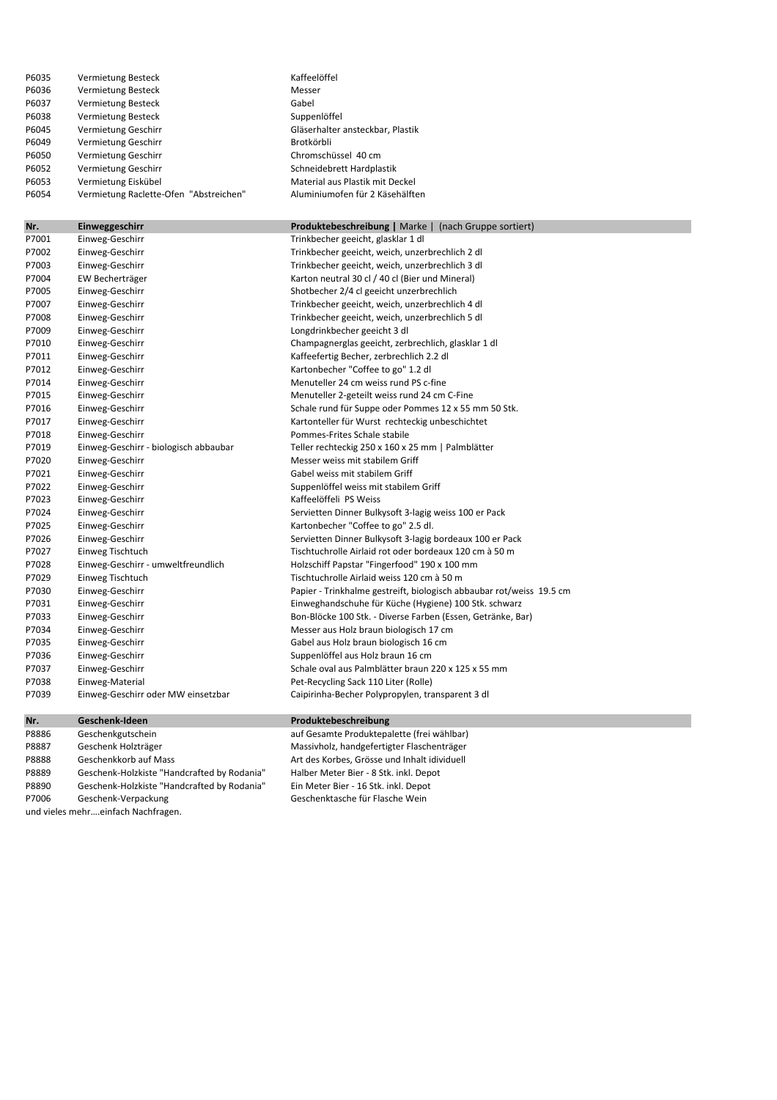| P6035 | Vermietung Besteck                     | Kaffeelöffel                     |
|-------|----------------------------------------|----------------------------------|
| P6036 | Vermietung Besteck                     | Messer                           |
| P6037 | Vermietung Besteck                     | Gabel                            |
| P6038 | Vermietung Besteck                     | Suppenlöffel                     |
| P6045 | Vermietung Geschirr                    | Gläserhalter ansteckbar, Plastik |
| P6049 | Vermietung Geschirr                    | Brotkörbli                       |
| P6050 | Vermietung Geschirr                    | Chromschüssel 40 cm              |
| P6052 | Vermietung Geschirr                    | Schneidebrett Hardplastik        |
| P6053 | Vermietung Eiskübel                    | Material aus Plastik mit Deckel  |
| P6054 | Vermietung Raclette-Ofen "Abstreichen" | Aluminiumofen für 2 Käsehälften  |

| Nr.   | Einweggeschirr                        | <b>Produktebeschreibung</b>   Marke   (nach Gruppe sortiert)         |
|-------|---------------------------------------|----------------------------------------------------------------------|
| P7001 | Einweg-Geschirr                       | Trinkbecher geeicht, glasklar 1 dl                                   |
| P7002 | Einweg-Geschirr                       | Trinkbecher geeicht, weich, unzerbrechlich 2 dl                      |
| P7003 | Einweg-Geschirr                       | Trinkbecher geeicht, weich, unzerbrechlich 3 dl                      |
| P7004 | EW Becherträger                       | Karton neutral 30 cl / 40 cl (Bier und Mineral)                      |
| P7005 | Einweg-Geschirr                       | Shotbecher 2/4 cl geeicht unzerbrechlich                             |
| P7007 | Einweg-Geschirr                       | Trinkbecher geeicht, weich, unzerbrechlich 4 dl                      |
| P7008 | Einweg-Geschirr                       | Trinkbecher geeicht, weich, unzerbrechlich 5 dl                      |
| P7009 | Einweg-Geschirr                       | Longdrinkbecher geeicht 3 dl                                         |
| P7010 | Einweg-Geschirr                       | Champagnerglas geeicht, zerbrechlich, glasklar 1 dl                  |
| P7011 | Einweg-Geschirr                       | Kaffeefertig Becher, zerbrechlich 2.2 dl                             |
| P7012 | Einweg-Geschirr                       | Kartonbecher "Coffee to go" 1.2 dl                                   |
| P7014 | Einweg-Geschirr                       | Menuteller 24 cm weiss rund PS c-fine                                |
| P7015 | Einweg-Geschirr                       | Menuteller 2-geteilt weiss rund 24 cm C-Fine                         |
| P7016 | Einweg-Geschirr                       | Schale rund für Suppe oder Pommes 12 x 55 mm 50 Stk.                 |
| P7017 | Einweg-Geschirr                       | Kartonteller für Wurst rechteckig unbeschichtet                      |
| P7018 | Einweg-Geschirr                       | Pommes-Frites Schale stabile                                         |
| P7019 | Einweg-Geschirr - biologisch abbaubar | Teller rechteckig 250 x 160 x 25 mm   Palmblätter                    |
| P7020 | Einweg-Geschirr                       | Messer weiss mit stabilem Griff                                      |
| P7021 | Einweg-Geschirr                       | Gabel weiss mit stabilem Griff                                       |
| P7022 | Einweg-Geschirr                       | Suppenlöffel weiss mit stabilem Griff                                |
| P7023 | Einweg-Geschirr                       | Kaffeelöffeli PS Weiss                                               |
| P7024 | Einweg-Geschirr                       | Servietten Dinner Bulkysoft 3-lagig weiss 100 er Pack                |
| P7025 | Einweg-Geschirr                       | Kartonbecher "Coffee to go" 2.5 dl.                                  |
| P7026 | Einweg-Geschirr                       | Servietten Dinner Bulkysoft 3-lagig bordeaux 100 er Pack             |
| P7027 | Einweg Tischtuch                      | Tischtuchrolle Airlaid rot oder bordeaux 120 cm à 50 m               |
| P7028 | Einweg-Geschirr - umweltfreundlich    | Holzschiff Papstar "Fingerfood" 190 x 100 mm                         |
| P7029 | Einweg Tischtuch                      | Tischtuchrolle Airlaid weiss 120 cm à 50 m                           |
| P7030 | Einweg-Geschirr                       | Papier - Trinkhalme gestreift, biologisch abbaubar rot/weiss 19.5 cm |
| P7031 | Einweg-Geschirr                       | Einweghandschuhe für Küche (Hygiene) 100 Stk. schwarz                |
| P7033 | Einweg-Geschirr                       | Bon-Blöcke 100 Stk. - Diverse Farben (Essen, Getränke, Bar)          |
| P7034 | Einweg-Geschirr                       | Messer aus Holz braun biologisch 17 cm                               |
| P7035 | Einweg-Geschirr                       | Gabel aus Holz braun biologisch 16 cm                                |
| P7036 | Einweg-Geschirr                       | Suppenlöffel aus Holz braun 16 cm                                    |
| P7037 | Einweg-Geschirr                       | Schale oval aus Palmblätter braun 220 x 125 x 55 mm                  |
| P7038 | Einweg-Material                       | Pet-Recycling Sack 110 Liter (Rolle)                                 |
| P7039 | Einweg-Geschirr oder MW einsetzbar    | Caipirinha-Becher Polypropylen, transparent 3 dl                     |

## **Nr. Geschenk-Ideen Produktebeschreibung**

| P8887 | Geschenk Holzträger                         | Massivholz, handgefertigter Flaschenträger   |
|-------|---------------------------------------------|----------------------------------------------|
| P8888 | Geschenkkorb auf Mass                       | Art des Korbes, Grösse und Inhalt idividuell |
| P8889 | Geschenk-Holzkiste "Handcrafted by Rodania" | Halber Meter Bier - 8 Stk. inkl. Depot       |
| P8890 | Geschenk-Holzkiste "Handcrafted by Rodania" | Ein Meter Bier - 16 Stk. inkl. Depot         |
| P7006 | Geschenk-Verpackung                         | Geschenktasche für Flasche Wein              |
|       |                                             |                                              |

P8886 Geschenkgutschein auf Gesamte Produktepalette (frei wählbar) Art des Korbes, Grösse und Inhalt idividuell P888889 Halber Meter Bier - 8 Stk. inkl. Depot Ein Meter Bier - 16 Stk. inkl. Depot Geschenktasche für Flasche Wein

und vieles mehr….einfach Nachfragen.